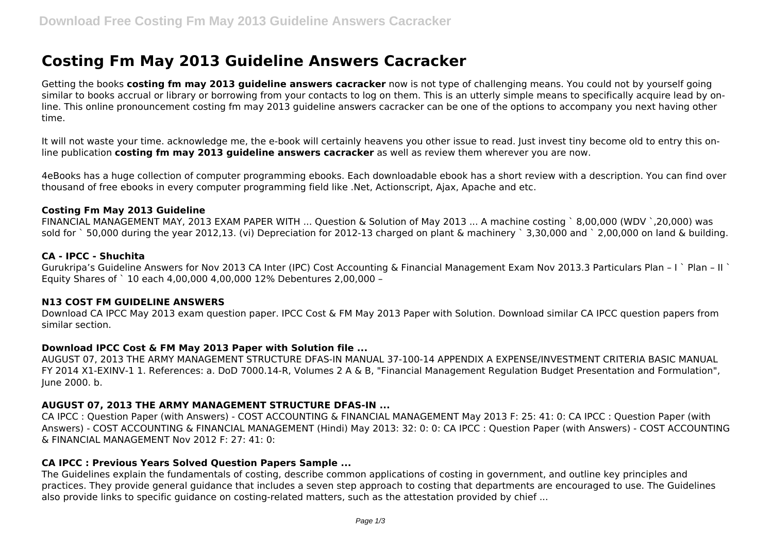# **Costing Fm May 2013 Guideline Answers Cacracker**

Getting the books **costing fm may 2013 guideline answers cacracker** now is not type of challenging means. You could not by yourself going similar to books accrual or library or borrowing from your contacts to log on them. This is an utterly simple means to specifically acquire lead by online. This online pronouncement costing fm may 2013 guideline answers cacracker can be one of the options to accompany you next having other time.

It will not waste your time. acknowledge me, the e-book will certainly heavens you other issue to read. Just invest tiny become old to entry this online publication **costing fm may 2013 guideline answers cacracker** as well as review them wherever you are now.

4eBooks has a huge collection of computer programming ebooks. Each downloadable ebook has a short review with a description. You can find over thousand of free ebooks in every computer programming field like .Net, Actionscript, Ajax, Apache and etc.

#### **Costing Fm May 2013 Guideline**

FINANCIAL MANAGEMENT MAY, 2013 EXAM PAPER WITH ... Question & Solution of May 2013 ... A machine costing ` 8,00,000 (WDV `,20,000) was sold for ` 50,000 during the year 2012,13. (vi) Depreciation for 2012-13 charged on plant & machinery ` 3,30,000 and ` 2,00,000 on land & building.

#### **CA - IPCC - Shuchita**

Gurukripa's Guideline Answers for Nov 2013 CA Inter (IPC) Cost Accounting & Financial Management Exam Nov 2013.3 Particulars Plan – I ` Plan – II ` Equity Shares of ` 10 each 4,00,000 4,00,000 12% Debentures 2,00,000 –

#### **N13 COST FM GUIDELINE ANSWERS**

Download CA IPCC May 2013 exam question paper. IPCC Cost & FM May 2013 Paper with Solution. Download similar CA IPCC question papers from similar section.

#### **Download IPCC Cost & FM May 2013 Paper with Solution file ...**

AUGUST 07, 2013 THE ARMY MANAGEMENT STRUCTURE DFAS-IN MANUAL 37-100-14 APPENDIX A EXPENSE/INVESTMENT CRITERIA BASIC MANUAL FY 2014 X1-EXINV-1 1. References: a. DoD 7000.14-R, Volumes 2 A & B, "Financial Management Regulation Budget Presentation and Formulation", June 2000. b.

#### **AUGUST 07, 2013 THE ARMY MANAGEMENT STRUCTURE DFAS-IN ...**

CA IPCC : Question Paper (with Answers) - COST ACCOUNTING & FINANCIAL MANAGEMENT May 2013 F: 25: 41: 0: CA IPCC : Question Paper (with Answers) - COST ACCOUNTING & FINANCIAL MANAGEMENT (Hindi) May 2013: 32: 0: 0: CA IPCC : Question Paper (with Answers) - COST ACCOUNTING & FINANCIAL MANAGEMENT Nov 2012 F: 27: 41: 0:

#### **CA IPCC : Previous Years Solved Question Papers Sample ...**

The Guidelines explain the fundamentals of costing, describe common applications of costing in government, and outline key principles and practices. They provide general guidance that includes a seven step approach to costing that departments are encouraged to use. The Guidelines also provide links to specific guidance on costing-related matters, such as the attestation provided by chief ...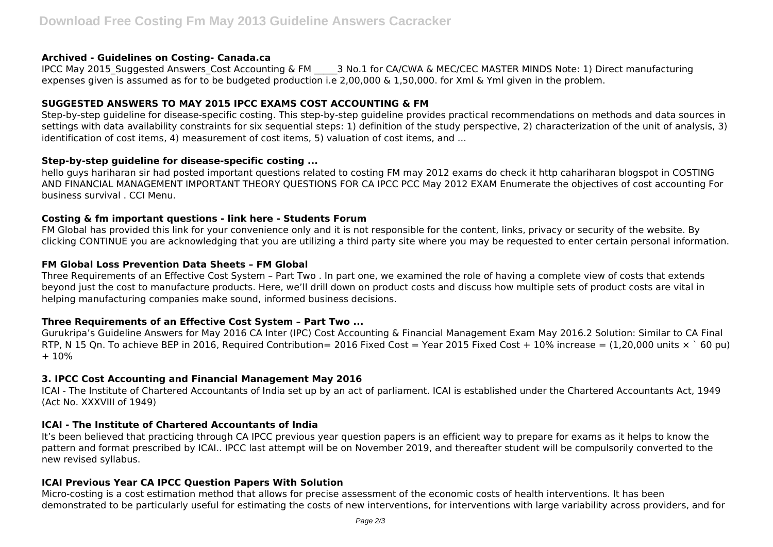#### **Archived - Guidelines on Costing- Canada.ca**

IPCC May 2015 Suggested Answers Cost Accounting & FM  $\qquad$  3 No.1 for CA/CWA & MEC/CEC MASTER MINDS Note: 1) Direct manufacturing expenses given is assumed as for to be budgeted production i.e 2,00,000 & 1,50,000. for Xml & Yml given in the problem.

# **SUGGESTED ANSWERS TO MAY 2015 IPCC EXAMS COST ACCOUNTING & FM**

Step-by-step guideline for disease-specific costing. This step-by-step guideline provides practical recommendations on methods and data sources in settings with data availability constraints for six sequential steps: 1) definition of the study perspective, 2) characterization of the unit of analysis, 3) identification of cost items, 4) measurement of cost items, 5) valuation of cost items, and ...

# **Step-by-step guideline for disease-specific costing ...**

hello guys hariharan sir had posted important questions related to costing FM may 2012 exams do check it http cahariharan blogspot in COSTING AND FINANCIAL MANAGEMENT IMPORTANT THEORY QUESTIONS FOR CA IPCC PCC May 2012 EXAM Enumerate the objectives of cost accounting For business survival . CCI Menu.

# **Costing & fm important questions - link here - Students Forum**

FM Global has provided this link for your convenience only and it is not responsible for the content, links, privacy or security of the website. By clicking CONTINUE you are acknowledging that you are utilizing a third party site where you may be requested to enter certain personal information.

# **FM Global Loss Prevention Data Sheets – FM Global**

Three Requirements of an Effective Cost System – Part Two . In part one, we examined the role of having a complete view of costs that extends beyond just the cost to manufacture products. Here, we'll drill down on product costs and discuss how multiple sets of product costs are vital in helping manufacturing companies make sound, informed business decisions.

# **Three Requirements of an Effective Cost System – Part Two ...**

Gurukripa's Guideline Answers for May 2016 CA Inter (IPC) Cost Accounting & Financial Management Exam May 2016.2 Solution: Similar to CA Final RTP, N 15 Qn. To achieve BEP in 2016, Required Contribution= 2016 Fixed Cost = Year 2015 Fixed Cost + 10% increase = (1,20,000 units  $\times$  60 pu) + 10%

# **3. IPCC Cost Accounting and Financial Management May 2016**

ICAI - The Institute of Chartered Accountants of India set up by an act of parliament. ICAI is established under the Chartered Accountants Act, 1949 (Act No. XXXVIII of 1949)

# **ICAI - The Institute of Chartered Accountants of India**

It's been believed that practicing through CA IPCC previous year question papers is an efficient way to prepare for exams as it helps to know the pattern and format prescribed by ICAI.. IPCC last attempt will be on November 2019, and thereafter student will be compulsorily converted to the new revised syllabus.

# **ICAI Previous Year CA IPCC Question Papers With Solution**

Micro-costing is a cost estimation method that allows for precise assessment of the economic costs of health interventions. It has been demonstrated to be particularly useful for estimating the costs of new interventions, for interventions with large variability across providers, and for